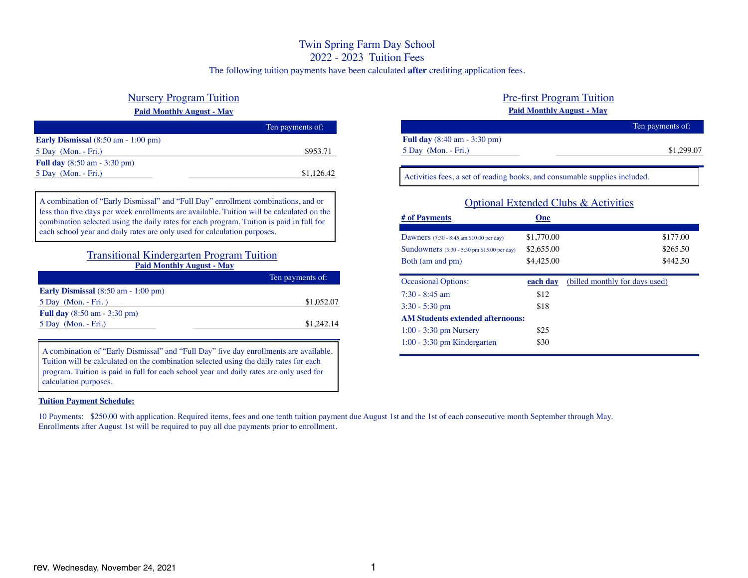# Twin Spring Farm Day School

2022 - 2023 Tuition Fees

The following tuition payments have been calculated **after** crediting application fees.

# Nursery Program Tuition

# **Paid Monthly August - May**

|                                                       | Ten payments of: |
|-------------------------------------------------------|------------------|
| Early Dismissal $(8:50 \text{ am} - 1:00 \text{ pm})$ |                  |
| $5$ Day (Mon. - Fri.)                                 | \$953.71         |
| <b>Full day</b> $(8:50 \text{ am} - 3:30 \text{ pm})$ |                  |
| $5$ Day (Mon. - Fri.)                                 | \$1,126.42       |
|                                                       |                  |

A combination of "Early Dismissal" and "Full Day" enrollment combinations, and or less than five days per week enrollments are available. Tuition will be calculated on the combination selected using the daily rates for each program. Tuition is paid in full for each school year and daily rates are only used for calculation purposes.

# Transitional Kindergarten Program Tuition **Paid Monthly August - May**

|                                                       | Ten payments of: |
|-------------------------------------------------------|------------------|
| Early Dismissal $(8:50 \text{ am} - 1:00 \text{ pm})$ |                  |
| 5 Day (Mon. - Fri.)                                   | \$1,052.07       |
| <b>Full day</b> $(8:50 \text{ am} - 3:30 \text{ pm})$ |                  |
| $5$ Day (Mon. - Fri.)                                 | \$1,242.14       |

A combination of "Early Dismissal" and "Full Day" five day enrollments are available. Tuition will be calculated on the combination selected using the daily rates for each program. Tuition is paid in full for each school year and daily rates are only used for calculation purposes.

# **Tuition Payment Schedule:**

10 Payments: \$250.00 with application. Required items, fees and one tenth tuition payment due August 1st and the 1st of each consecutive month September through May. Enrollments after August 1st will be required to pay all due payments prior to enrollment.

# Pre-first Program Tuition **Paid Monthly August - May**

|                                                       | Ten payments of: |
|-------------------------------------------------------|------------------|
| <b>Full day</b> $(8:40 \text{ am} - 3:30 \text{ pm})$ |                  |
| $5$ Day (Mon. - Fri.)                                 | \$1,299.07       |
|                                                       |                  |

Activities fees, a set of reading books, and consumable supplies included.

| Optional Extended Clubs & Activities               |            |                                |  |  |  |
|----------------------------------------------------|------------|--------------------------------|--|--|--|
| # of Payments                                      | One        |                                |  |  |  |
|                                                    |            |                                |  |  |  |
| Dawners $(7:30 - 8:45)$ am \$10.00 per day)        | \$1,770.00 | \$177.00                       |  |  |  |
| <b>Sundowners</b> (3:30 - 5:30 pm \$15.00 per day) | \$2,655.00 | \$265.50                       |  |  |  |
| Both (am and pm)                                   | \$4,425.00 | \$442.50                       |  |  |  |
|                                                    |            |                                |  |  |  |
| <b>Occasional Options:</b>                         | each day   | (billed monthly for days used) |  |  |  |
| $7:30 - 8:45$ am                                   | \$12       |                                |  |  |  |
| $3:30 - 5:30$ pm                                   | \$18       |                                |  |  |  |
| <b>AM Students extended afternoons:</b>            |            |                                |  |  |  |
| $1:00 - 3:30$ pm Nursery                           | \$25       |                                |  |  |  |
| $1:00 - 3:30$ pm Kindergarten                      | \$30       |                                |  |  |  |